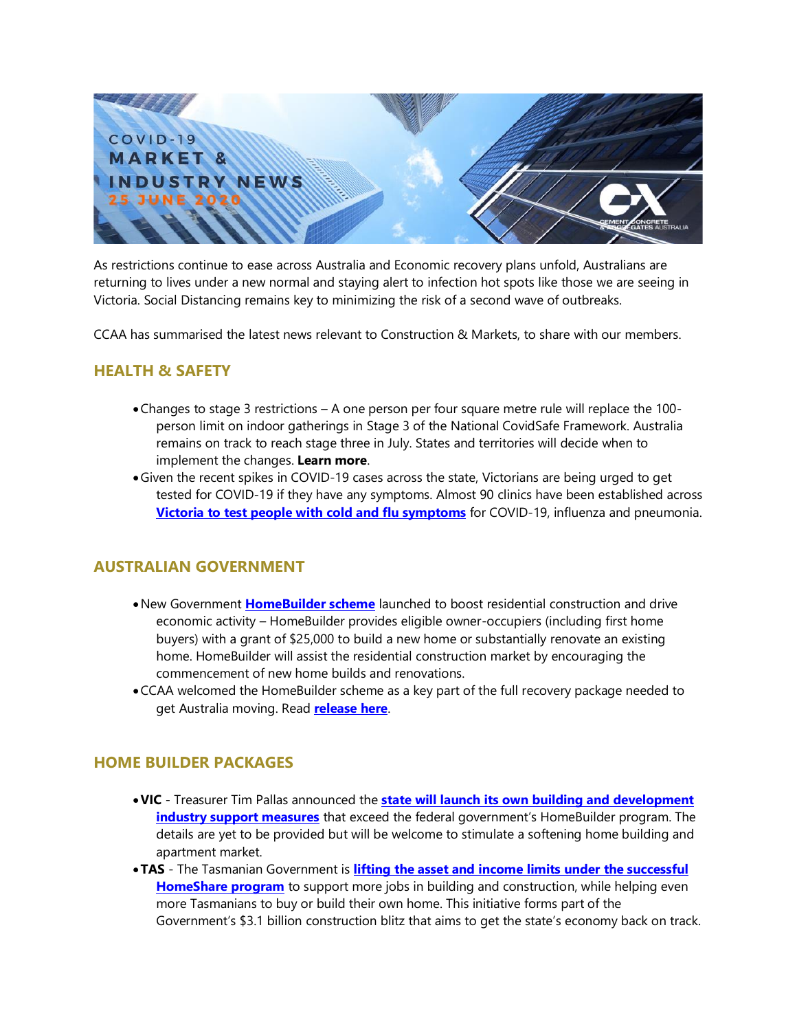

As restrictions continue to ease across Australia and Economic recovery plans unfold, Australians are returning to lives under a new normal and staying alert to infection hot spots like those we are seeing in Victoria. Social Distancing remains key to minimizing the risk of a second wave of outbreaks.

CCAA has summarised the latest news relevant to Construction & Markets, to share with our members.

## **HEALTH & SAFETY**

- •Changes to stage 3 restrictions A one person per four square metre rule will replace the 100 person limit on indoor gatherings in Stage 3 of the National CovidSafe Framework. Australia remains on track to reach stage three in July. States and territories will decide when to implement the changes. **[Learn more](https://www.pm.gov.au/media/update-coronavirus-measures-12june20)**.
- •Given the recent spikes in COVID-19 cases across the state, Victorians are being urged to get tested for COVID-19 if they have any symptoms. Almost 90 clinics have been established across **[Victoria to test people with cold and flu symptoms](https://www.australia.gov.au/victorians-urged-to-get-tested-for-covid-19-if-they-have-any-sym)** for COVID-19, influenza and pneumonia.

# **AUSTRALIAN GOVERNMENT**

- •New Government **[HomeBuilder scheme](https://treasury.gov.au/coronavirus/homebuilder)** launched to boost residential construction and drive economic activity – HomeBuilder provides eligible owner-occupiers (including first home buyers) with a grant of \$25,000 to build a new home or substantially renovate an existing home. HomeBuilder will assist the residential construction market by encouraging the commencement of new home builds and renovations.
- •CCAA welcomed the HomeBuilder scheme as a key part of the full recovery package needed to get Australia moving. Read **[release here](https://view.publitas.com/ccaa/05062020_nat_media_release_ccaa_responds_to_fed_govt_housing_package/page/1)**.

#### **HOME BUILDER PACKAGES**

- •**VIC** Treasurer Tim Pallas announced the **[state will launch its own building and development](https://www.heraldsun.com.au/news/victoria/victorian-treasurer-tim-pallas-flags-building-industry-support-to-top-homebuilder/news-story/72adcffad88db531ee51dc9aa20c74d0)  [industry support measures](https://www.heraldsun.com.au/news/victoria/victorian-treasurer-tim-pallas-flags-building-industry-support-to-top-homebuilder/news-story/72adcffad88db531ee51dc9aa20c74d0)** that exceed the federal government's HomeBuilder program. The details are yet to be provided but will be welcome to stimulate a softening home building and apartment market.
- •**TAS** The Tasmanian Government is **[lifting the asset and income limits under the successful](http://www.premier.tas.gov.au/releases/expanded_homeshare_program_to_benefit_tasmanians)  [HomeShare program](http://www.premier.tas.gov.au/releases/expanded_homeshare_program_to_benefit_tasmanians)** to support more jobs in building and construction, while helping even more Tasmanians to buy or build their own home. This initiative forms part of the Government's \$3.1 billion construction blitz that aims to get the state's economy back on track.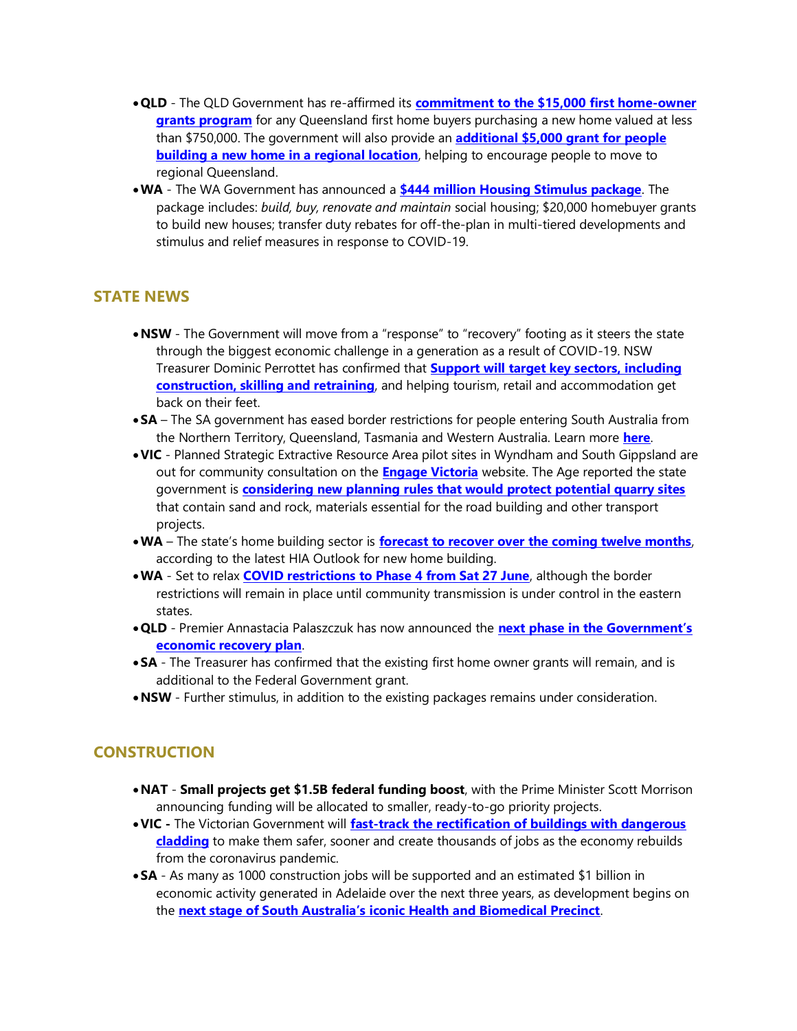- •**QLD**  The QLD Government has re-affirmed its **[commitment to the \\$15,000 first home-owner](https://www.treasury.qld.gov.au/programs-and-policies/queensland-first-home-owner-grant/)  [grants program](https://www.treasury.qld.gov.au/programs-and-policies/queensland-first-home-owner-grant/)** for any Queensland first home buyers purchasing a new home valued at less than \$750,000. The government will also provide an **[additional \\$5,000 grant for people](https://www.qld.gov.au/housing/buying-owning-home/financial-help-concessions/regional-home-building-grant)  [building a new home in a regional location](https://www.qld.gov.au/housing/buying-owning-home/financial-help-concessions/regional-home-building-grant)**, helping to encourage people to move to regional Queensland.
- •**WA**  The WA Government has announced a **[\\$444 million Housing Stimulus package](https://www.mediastatements.wa.gov.au/Pages/McGowan/2020/06/New-444-million-dollar-housing-stimulus-for-Western-Australia.aspx)**. The package includes: *build, buy, renovate and maintain* social housing; \$20,000 homebuyer grants to build new houses; transfer duty rebates for off-the-plan in multi-tiered developments and stimulus and relief measures in response to COVID-19.

## **STATE NEWS**

- •**NSW** The Government will move from a "response" to "recovery" footing as it steers the state through the biggest economic challenge in a generation as a result of COVID-19. NSW Treasurer Dominic Perrottet has confirmed that **[Support will target key sectors, including](https://nsw.liberal.org.au/Shared-Content/News/2020/JOB-CREATION-TO-DRIVE-NSW-ECONOMIC-RECOVERY)  [construction, skilling and retraining](https://nsw.liberal.org.au/Shared-Content/News/2020/JOB-CREATION-TO-DRIVE-NSW-ECONOMIC-RECOVERY)**, and helping tourism, retail and accommodation get back on their feet.
- •**SA** The SA government has eased border restrictions for people entering South Australia from the Northern Territory, Queensland, Tasmania and Western Australia. Learn more **[here](https://www.covid-19.sa.gov.au/restrictions-and-responsibilities/travel-restrictions)**.
- •**VIC** Planned Strategic Extractive Resource Area pilot sites in Wyndham and South Gippsland are out for community consultation on the **[Engage Victoria](https://engage.vic.gov.au/sera-pilot-project)** website. The Age reported the state government is **[considering new planning rules that would protect potential quarry sites](https://www.theage.com.au/national/victoria/future-quarry-sites-earmarked-to-feed-state-s-huge-infrastructure-appetite-20200611-p551px.html)** that contain sand and rock, materials essential for the road building and other transport projects.
- •**WA** The state's home building sector is **[forecast to recover over the coming twelve months](https://hia.com.au/regional-news/wa/red-article-rn12)**, according to the latest HIA Outlook for new home building.
- •**WA** Set to relax **[COVID restrictions to Phase 4 from Sat 27 June](https://www.mediastatements.wa.gov.au/Pages/McGowan/2020/06/WA-ready-for-the-next-phase-of-the-COVID-19-roadmap.aspx)**, although the border restrictions will remain in place until community transmission is under control in the eastern states.
- •**QLD** Premier Annastacia Palaszczuk has now announced the **next [phase in the Government's](http://statements.qld.gov.au/Statement/2020/6/16/unite-and-recover-for-queensland-jobs--next-phase-of-economic-recovery-announced)  [economic recovery plan](http://statements.qld.gov.au/Statement/2020/6/16/unite-and-recover-for-queensland-jobs--next-phase-of-economic-recovery-announced)**.
- •**SA**  The Treasurer has confirmed that the existing first home owner grants will remain, and is additional to the Federal Government grant.
- •**NSW**  Further stimulus, in addition to the existing packages remains under consideration.

## **CONSTRUCTION**

- •**NAT [Small projects get \\$1.5B federal funding boost](https://www.insideconstruction.com.au/section/projects/small-projects-get-1-5b-federal-funding-boost/)**, with the Prime Minister Scott Morrison announcing funding will be allocated to smaller, ready-to-go priority projects.
- •**VIC -** The Victorian Government will **[fast-track the rectification of buildings with dangerous](https://www.premier.vic.gov.au/fixing-flammable-cladding-faster-and-creating-local-jobs/)  [cladding](https://www.premier.vic.gov.au/fixing-flammable-cladding-faster-and-creating-local-jobs/)** to make them safer, sooner and create thousands of jobs as the economy rebuilds from the coronavirus pandemic.
- •**SA** As many as 1000 construction jobs will be supported and an estimated \$1 billion in economic activity generated in Adelaide over the next three years, as development begins on the **next stage [of South Australia's iconic Health and Biomedical Precinct](https://www.premier.sa.gov.au/news/media-releases/news/1000-construction-jobs-in-pipeline-as-sod-turns-for-sahmri-2)**.